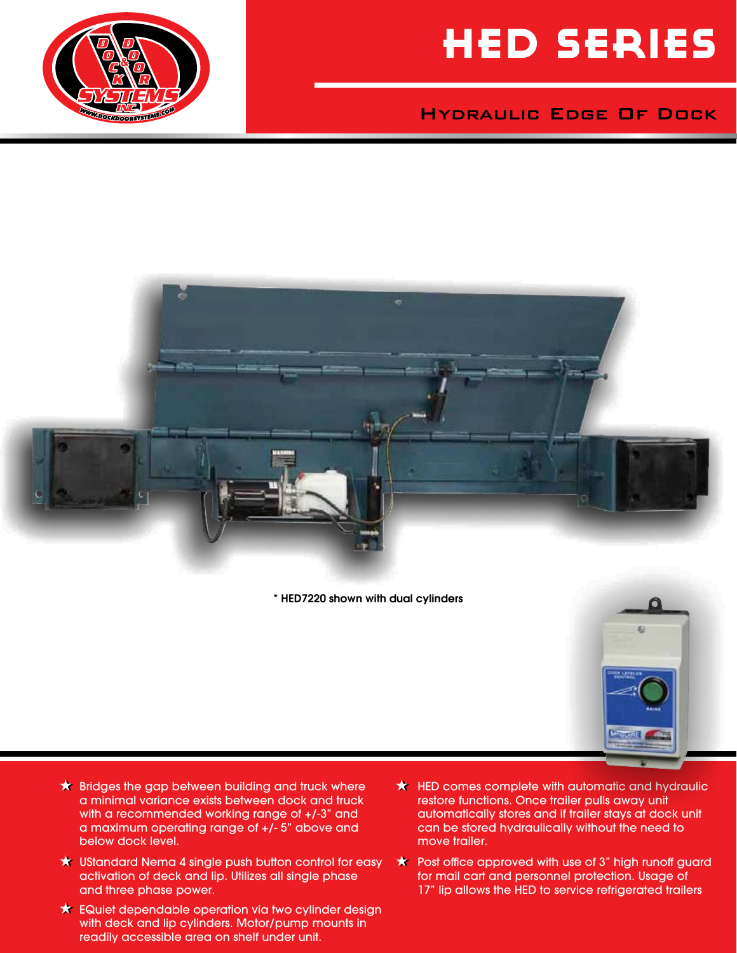

### **HYDRAULIC EDGE OF DOCK**





\* HED7220 shown with dual cylinders



- $\star$  Bridges the gap between building and truck where a minimal variance exists between dock and truck with a recommended working range of +/-3" and a maximum operating range of +/- 5" above and below dock level.
- $\star$  UStandard Nema 4 single push button control for easy activation of deck and lip. Utilizes all single phase and three phase power.
- EQuiet dependable operation via two cylinder design with deck and lip cylinders. Motor/pump mounts in readily accessible area on shelf under unit.
- $\star$  HED comes complete with automatic and hydraulic restore functions. Once trailer pulls away unit automatically stores and if trailer stays at dock unit can be stored hydraulically without the need to move trailer.
- $\star$  Post office approved with use of 3" high runoff guard for mail cart and personnel protection. Usage of 17" lip allows the HED to service refrigerated trailers